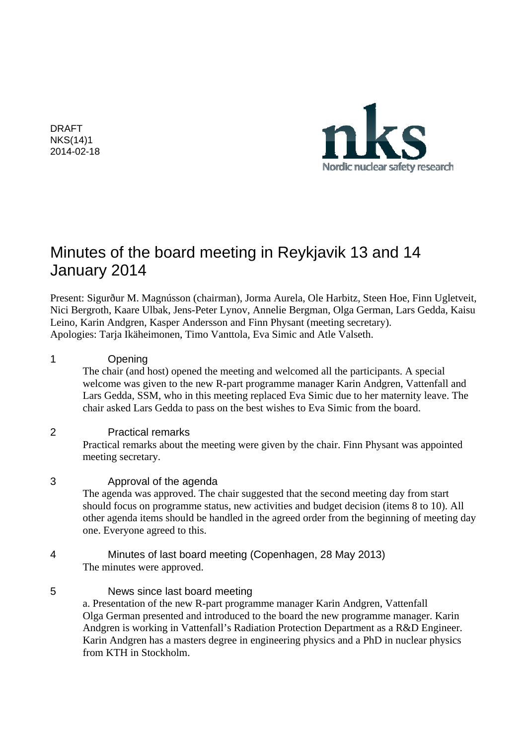DRAFT NKS(14)1 2014-02-18



# Minutes of the board meeting in Reykjavik 13 and 14 January 2014

Present: Sigurður M. Magnússon (chairman), Jorma Aurela, Ole Harbitz, Steen Hoe, Finn Ugletveit, Nici Bergroth, Kaare Ulbak, Jens-Peter Lynov, Annelie Bergman, Olga German, Lars Gedda, Kaisu Leino, Karin Andgren, Kasper Andersson and Finn Physant (meeting secretary). Apologies: Tarja Ikäheimonen, Timo Vanttola, Eva Simic and Atle Valseth.

## 1 Opening

The chair (and host) opened the meeting and welcomed all the participants. A special welcome was given to the new R-part programme manager Karin Andgren, Vattenfall and Lars Gedda, SSM, who in this meeting replaced Eva Simic due to her maternity leave. The chair asked Lars Gedda to pass on the best wishes to Eva Simic from the board.

## 2 Practical remarks

Practical remarks about the meeting were given by the chair. Finn Physant was appointed meeting secretary.

## 3 Approval of the agenda

 The agenda was approved. The chair suggested that the second meeting day from start should focus on programme status, new activities and budget decision (items 8 to 10). All other agenda items should be handled in the agreed order from the beginning of meeting day one. Everyone agreed to this.

## 4 Minutes of last board meeting (Copenhagen, 28 May 2013) The minutes were approved.

5 News since last board meeting a. Presentation of the new R-part programme manager Karin Andgren, Vattenfall Olga German presented and introduced to the board the new programme manager. Karin Andgren is working in Vattenfall's Radiation Protection Department as a R&D Engineer. Karin Andgren has a masters degree in engineering physics and a PhD in nuclear physics from KTH in Stockholm.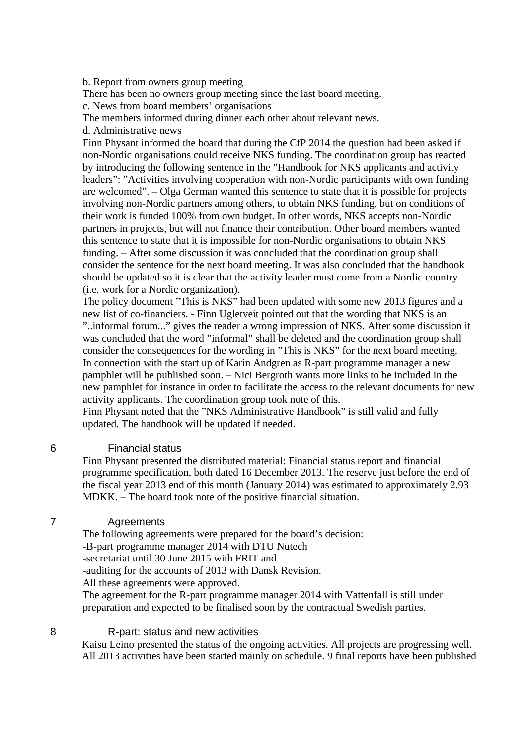b. Report from owners group meeting

There has been no owners group meeting since the last board meeting.

c. News from board members' organisations

The members informed during dinner each other about relevant news.

d. Administrative news

Finn Physant informed the board that during the CfP 2014 the question had been asked if non-Nordic organisations could receive NKS funding. The coordination group has reacted by introducing the following sentence in the "Handbook for NKS applicants and activity leaders": "Activities involving cooperation with non-Nordic participants with own funding are welcomed". – Olga German wanted this sentence to state that it is possible for projects involving non-Nordic partners among others, to obtain NKS funding, but on conditions of their work is funded 100% from own budget. In other words, NKS accepts non-Nordic partners in projects, but will not finance their contribution. Other board members wanted this sentence to state that it is impossible for non-Nordic organisations to obtain NKS funding. – After some discussion it was concluded that the coordination group shall consider the sentence for the next board meeting. It was also concluded that the handbook should be updated so it is clear that the activity leader must come from a Nordic country (i.e. work for a Nordic organization).

The policy document "This is NKS" had been updated with some new 2013 figures and a new list of co-financiers. - Finn Ugletveit pointed out that the wording that NKS is an "..informal forum..." gives the reader a wrong impression of NKS. After some discussion it was concluded that the word "informal" shall be deleted and the coordination group shall consider the consequences for the wording in "This is NKS" for the next board meeting. In connection with the start up of Karin Andgren as R-part programme manager a new pamphlet will be published soon. – Nici Bergroth wants more links to be included in the new pamphlet for instance in order to facilitate the access to the relevant documents for new activity applicants. The coordination group took note of this.

Finn Physant noted that the "NKS Administrative Handbook" is still valid and fully updated. The handbook will be updated if needed.

## 6 Financial status

Finn Physant presented the distributed material: Financial status report and financial programme specification, both dated 16 December 2013. The reserve just before the end of the fiscal year 2013 end of this month (January 2014) was estimated to approximately 2.93 MDKK. – The board took note of the positive financial situation.

## 7 Agreements

The following agreements were prepared for the board's decision:

-B-part programme manager 2014 with DTU Nutech

-secretariat until 30 June 2015 with FRIT and

-auditing for the accounts of 2013 with Dansk Revision.

All these agreements were approved.

The agreement for the R-part programme manager 2014 with Vattenfall is still under preparation and expected to be finalised soon by the contractual Swedish parties.

8 R-part: status and new activities

Kaisu Leino presented the status of the ongoing activities. All projects are progressing well. All 2013 activities have been started mainly on schedule. 9 final reports have been published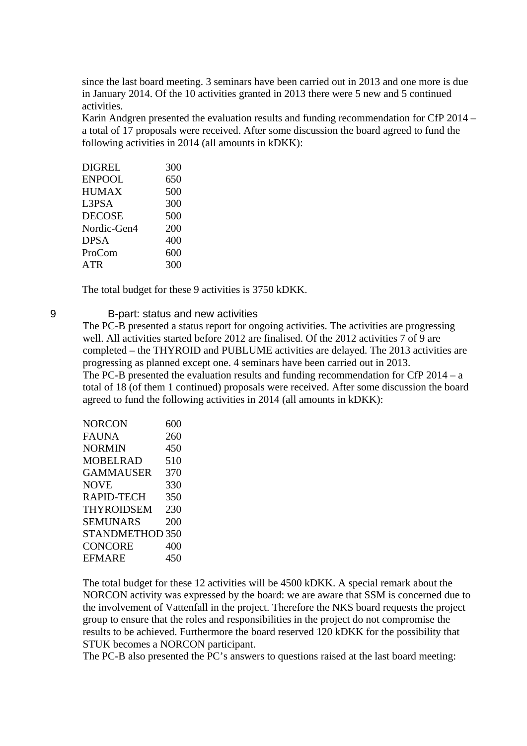since the last board meeting. 3 seminars have been carried out in 2013 and one more is due in January 2014. Of the 10 activities granted in 2013 there were 5 new and 5 continued activities.

Karin Andgren presented the evaluation results and funding recommendation for CfP 2014 – a total of 17 proposals were received. After some discussion the board agreed to fund the following activities in 2014 (all amounts in kDKK):

| <b>DIGREL</b> | 300 |
|---------------|-----|
| <b>ENPOOL</b> | 650 |
| <b>HUMAX</b>  | 500 |
| L3PSA         | 300 |
| <b>DECOSE</b> | 500 |
| Nordic-Gen4   | 200 |
| <b>DPSA</b>   | 400 |
| ProCom        | 600 |
| ATR           | 300 |

The total budget for these 9 activities is 3750 kDKK.

9 B-part: status and new activities

The PC-B presented a status report for ongoing activities. The activities are progressing well. All activities started before 2012 are finalised. Of the 2012 activities 7 of 9 are completed – the THYROID and PUBLUME activities are delayed. The 2013 activities are progressing as planned except one. 4 seminars have been carried out in 2013. The PC-B presented the evaluation results and funding recommendation for CfP 2014 – a total of 18 (of them 1 continued) proposals were received. After some discussion the board agreed to fund the following activities in 2014 (all amounts in kDKK):

| NORCON            | 600 |
|-------------------|-----|
| FAUNA             | 260 |
| NORMIN            | 450 |
| MOBELRAD          | 510 |
| <b>GAMMAUSER</b>  | 370 |
| NOVE              | 330 |
| RAPID-TECH        | 350 |
| <b>THYROIDSEM</b> | 230 |
| <b>SEMUNARS</b>   | 200 |
| STANDMETHOD 350   |     |
| <b>CONCORE</b>    | 400 |
| <b>EFMARE</b>     | 450 |
|                   |     |

The total budget for these 12 activities will be 4500 kDKK. A special remark about the NORCON activity was expressed by the board: we are aware that SSM is concerned due to the involvement of Vattenfall in the project. Therefore the NKS board requests the project group to ensure that the roles and responsibilities in the project do not compromise the results to be achieved. Furthermore the board reserved 120 kDKK for the possibility that STUK becomes a NORCON participant.

The PC-B also presented the PC's answers to questions raised at the last board meeting: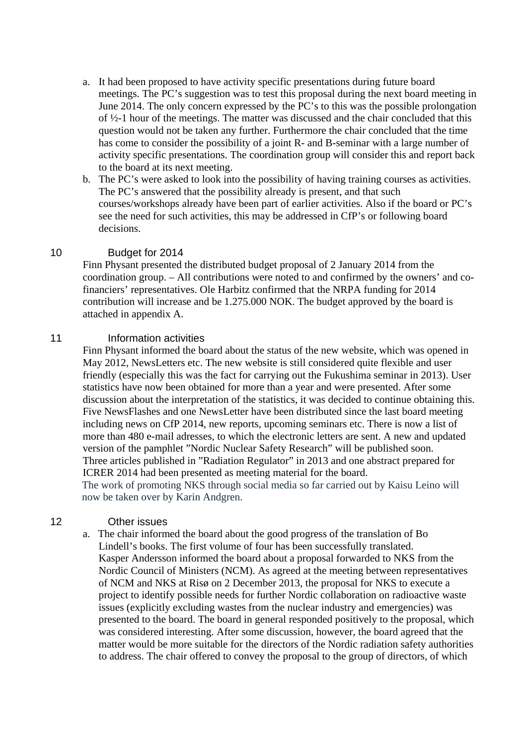- a. It had been proposed to have activity specific presentations during future board meetings. The PC's suggestion was to test this proposal during the next board meeting in June 2014. The only concern expressed by the PC's to this was the possible prolongation of ½-1 hour of the meetings. The matter was discussed and the chair concluded that this question would not be taken any further. Furthermore the chair concluded that the time has come to consider the possibility of a joint R- and B-seminar with a large number of activity specific presentations. The coordination group will consider this and report back to the board at its next meeting.
- b. The PC's were asked to look into the possibility of having training courses as activities. The PC's answered that the possibility already is present, and that such courses/workshops already have been part of earlier activities. Also if the board or PC's see the need for such activities, this may be addressed in CfP's or following board decisions.

## 10 Budget for 2014

Finn Physant presented the distributed budget proposal of 2 January 2014 from the coordination group. – All contributions were noted to and confirmed by the owners' and cofinanciers' representatives. Ole Harbitz confirmed that the NRPA funding for 2014 contribution will increase and be 1.275.000 NOK. The budget approved by the board is attached in appendix A.

## 11 **Information activities**

Finn Physant informed the board about the status of the new website, which was opened in May 2012, NewsLetters etc. The new website is still considered quite flexible and user friendly (especially this was the fact for carrying out the Fukushima seminar in 2013). User statistics have now been obtained for more than a year and were presented. After some discussion about the interpretation of the statistics, it was decided to continue obtaining this. Five NewsFlashes and one NewsLetter have been distributed since the last board meeting including news on CfP 2014, new reports, upcoming seminars etc. There is now a list of more than 480 e-mail adresses, to which the electronic letters are sent. A new and updated version of the pamphlet "Nordic Nuclear Safety Research" will be published soon. Three articles published in "Radiation Regulator" in 2013 and one abstract prepared for ICRER 2014 had been presented as meeting material for the board. The work of promoting NKS through social media so far carried out by Kaisu Leino will now be taken over by Karin Andgren.

#### 12 Other issues

a. The chair informed the board about the good progress of the translation of Bo Lindell's books. The first volume of four has been successfully translated. Kasper Andersson informed the board about a proposal forwarded to NKS from the Nordic Council of Ministers (NCM). As agreed at the meeting between representatives of NCM and NKS at Risø on 2 December 2013, the proposal for NKS to execute a project to identify possible needs for further Nordic collaboration on radioactive waste issues (explicitly excluding wastes from the nuclear industry and emergencies) was presented to the board. The board in general responded positively to the proposal, which was considered interesting. After some discussion, however, the board agreed that the matter would be more suitable for the directors of the Nordic radiation safety authorities to address. The chair offered to convey the proposal to the group of directors, of which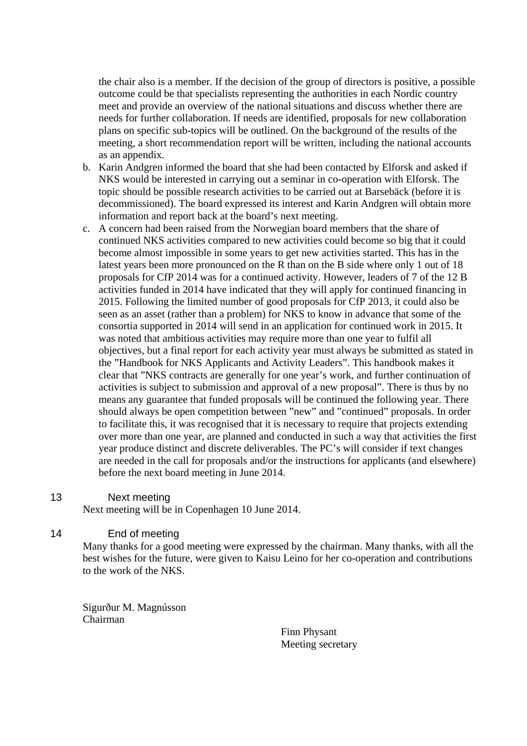the chair also is a member. If the decision of the group of directors is positive, a possible outcome could be that specialists representing the authorities in each Nordic country meet and provide an overview of the national situations and discuss whether there are needs for further collaboration. If needs are identified, proposals for new collaboration plans on specific sub-topics will be outlined. On the background of the results of the meeting, a short recommendation report will be written, including the national accounts as an appendix.

- b. Karin Andgren informed the board that she had been contacted by Elforsk and asked if NKS would be interested in carrying out a seminar in co-operation with Elforsk. The topic should be possible research activities to be carried out at Barsebäck (before it is decommissioned). The board expressed its interest and Karin Andgren will obtain more information and report back at the board's next meeting.
- c. A concern had been raised from the Norwegian board members that the share of continued NKS activities compared to new activities could become so big that it could become almost impossible in some years to get new activities started. This has in the latest years been more pronounced on the R than on the B side where only 1 out of 18 proposals for CfP 2014 was for a continued activity. However, leaders of 7 of the 12 B activities funded in 2014 have indicated that they will apply for continued financing in 2015. Following the limited number of good proposals for CfP 2013, it could also be seen as an asset (rather than a problem) for NKS to know in advance that some of the consortia supported in 2014 will send in an application for continued work in 2015. It was noted that ambitious activities may require more than one year to fulfil all objectives, but a final report for each activity year must always be submitted as stated in the "Handbook for NKS Applicants and Activity Leaders". This handbook makes it clear that "NKS contracts are generally for one year's work, and further continuation of activities is subject to submission and approval of a new proposal". There is thus by no means any guarantee that funded proposals will be continued the following year. There should always be open competition between "new" and "continued" proposals. In order to facilitate this, it was recognised that it is necessary to require that projects extending over more than one year, are planned and conducted in such a way that activities the first year produce distinct and discrete deliverables. The PC's will consider if text changes are needed in the call for proposals and/or the instructions for applicants (and elsewhere) before the next board meeting in June 2014.

#### 13 Next meeting

Next meeting will be in Copenhagen 10 June 2014.

## 14 End of meeting

Many thanks for a good meeting were expressed by the chairman. Many thanks, with all the best wishes for the future, were given to Kaisu Leino for her co-operation and contributions to the work of the NKS.

Sigurður M. Magnússon Chairman

> Finn Physant Meeting secretary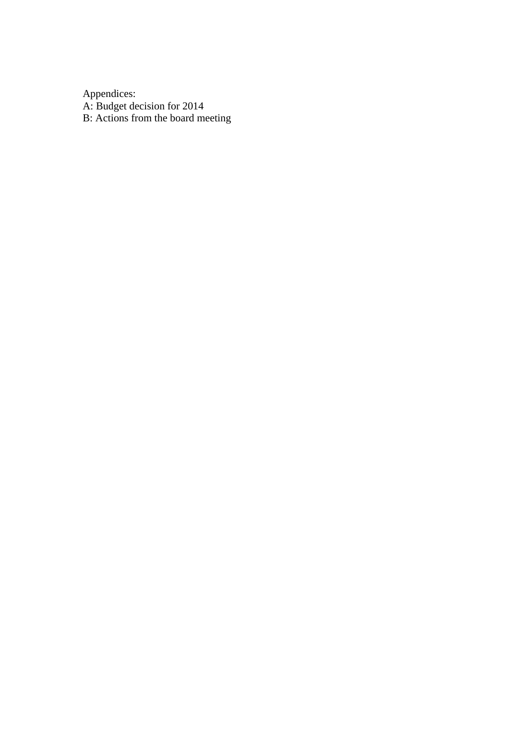Appendices: A: Budget decision for 2014 B: Actions from the board meeting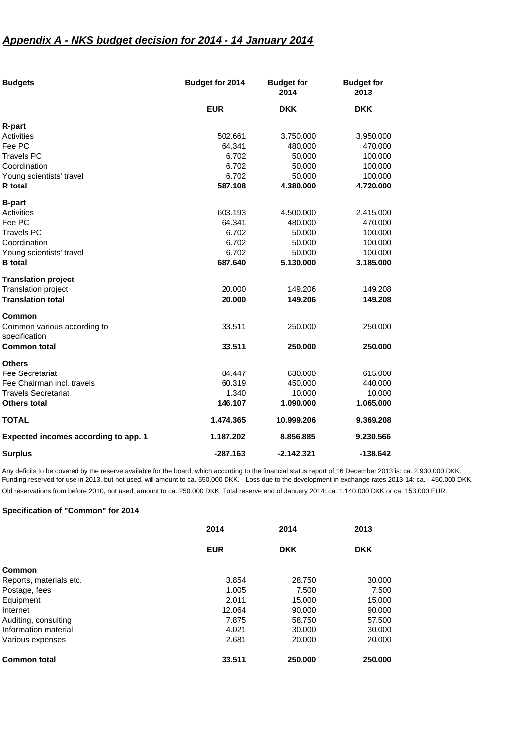## *Appendix A - NKS budget decision for 2014 - 14 January 2014*

| <b>Budgets</b>                               | Budget for 2014 | <b>Budget for</b><br>2014 | <b>Budget for</b><br>2013 |
|----------------------------------------------|-----------------|---------------------------|---------------------------|
|                                              | <b>EUR</b>      | <b>DKK</b>                | <b>DKK</b>                |
| R-part                                       |                 |                           |                           |
| Activities                                   | 502.661         | 3.750.000                 | 3.950.000                 |
| Fee PC                                       | 64.341          | 480.000                   | 470.000                   |
| <b>Travels PC</b>                            | 6.702           | 50.000                    | 100.000                   |
| Coordination                                 | 6.702           | 50.000                    | 100.000                   |
| Young scientists' travel                     | 6.702           | 50.000                    | 100.000                   |
| R total                                      | 587.108         | 4.380.000                 | 4.720.000                 |
| <b>B-part</b>                                |                 |                           |                           |
| Activities                                   | 603.193         | 4.500.000                 | 2.415.000                 |
| Fee PC                                       | 64.341          | 480.000                   | 470.000                   |
| <b>Travels PC</b>                            | 6.702           | 50.000                    | 100.000                   |
| Coordination                                 | 6.702           | 50.000                    | 100.000                   |
| Young scientists' travel                     | 6.702           | 50.000                    | 100.000                   |
| <b>B</b> total                               | 687.640         | 5.130.000                 | 3.185.000                 |
| <b>Translation project</b>                   |                 |                           |                           |
| Translation project                          | 20.000          | 149.206                   | 149.208                   |
| <b>Translation total</b>                     | 20.000          | 149.206                   | 149.208                   |
| <b>Common</b>                                |                 |                           |                           |
| Common various according to<br>specification | 33.511          | 250.000                   | 250.000                   |
| <b>Common total</b>                          | 33.511          | 250,000                   | 250,000                   |
| <b>Others</b>                                |                 |                           |                           |
| <b>Fee Secretariat</b>                       | 84.447          | 630.000                   | 615.000                   |
| Fee Chairman incl. travels                   | 60.319          | 450.000                   | 440.000                   |
| <b>Travels Secretariat</b>                   | 1.340           | 10.000                    | 10.000                    |
| Others total                                 | 146.107         | 1.090.000                 | 1.065.000                 |
| <b>TOTAL</b>                                 | 1.474.365       | 10.999.206                | 9.369.208                 |
| Expected incomes according to app. 1         | 1.187.202       | 8.856.885                 | 9.230.566                 |
| <b>Surplus</b>                               | $-287.163$      | $-2.142.321$              | -138.642                  |

Any deficits to be covered by the reserve available for the board, which according to the financial status report of 16 December 2013 is: ca. 2.930.000 DKK. Funding reserved for use in 2013, but not used, will amount to ca. 550.000 DKK. - Loss due to the development in exchange rates 2013-14: ca. - 450.000 DKK. Old reservations from before 2010, not used, amount to ca. 250.000 DKK. Total reserve end of January 2014: ca. 1.140.000 DKK or ca. 153.000 EUR.

#### **Specification of "Common" for 2014**

|                         | 2014       | 2014       | 2013       |
|-------------------------|------------|------------|------------|
|                         | <b>EUR</b> | <b>DKK</b> | <b>DKK</b> |
| Common                  |            |            |            |
| Reports, materials etc. | 3.854      | 28.750     | 30,000     |
| Postage, fees           | 1.005      | 7.500      | 7.500      |
| Equipment               | 2.011      | 15.000     | 15.000     |
| Internet                | 12.064     | 90,000     | 90.000     |
| Auditing, consulting    | 7.875      | 58.750     | 57.500     |
| Information material    | 4.021      | 30,000     | 30,000     |
| Various expenses        | 2.681      | 20,000     | 20,000     |
| <b>Common total</b>     | 33.511     | 250.000    | 250,000    |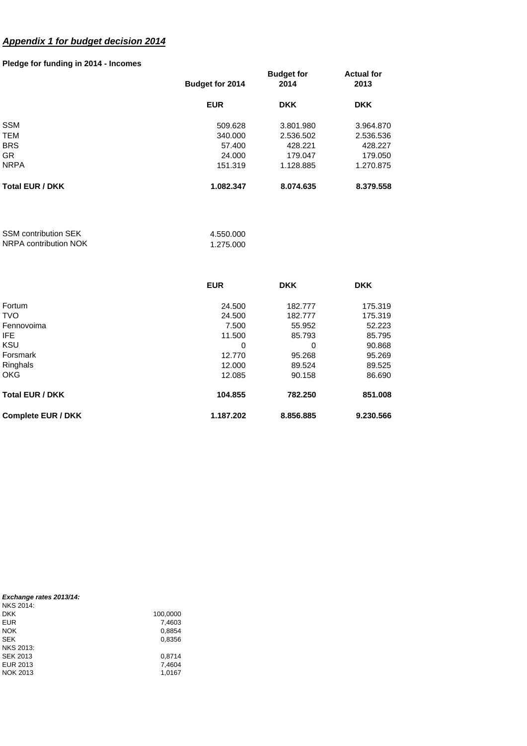# *Appendix 1 for budget decision 2014*

#### **Pledge for funding in 2014 - Incomes**

| <b>DKK</b>             |
|------------------------|
| 3.801.980<br>3.964.870 |
| 2.536.502<br>2.536.536 |
| 428.227<br>428.221     |
| 179.047<br>179.050     |
| 1.128.885<br>1.270.875 |
| 8.074.635<br>8.379.558 |
|                        |

| <b>SSM contribution SEK</b> | 4.550.000 |
|-----------------------------|-----------|
| NRPA contribution NOK       | 1.275.000 |

|                           | <b>EUR</b> | <b>DKK</b> | <b>DKK</b> |
|---------------------------|------------|------------|------------|
| Fortum                    | 24.500     | 182.777    | 175.319    |
| <b>TVO</b>                | 24.500     | 182.777    | 175.319    |
| Fennovoima                | 7.500      | 55.952     | 52.223     |
| IFE.                      | 11.500     | 85.793     | 85.795     |
| <b>KSU</b>                | 0          | 0          | 90.868     |
| Forsmark                  | 12.770     | 95.268     | 95.269     |
| Ringhals                  | 12,000     | 89.524     | 89.525     |
| <b>OKG</b>                | 12.085     | 90.158     | 86.690     |
| <b>Total EUR / DKK</b>    | 104.855    | 782.250    | 851.008    |
| <b>Complete EUR / DKK</b> | 1.187.202  | 8.856.885  | 9.230.566  |

| Exchange rates 2013/14:<br>NKS 2014: |          |
|--------------------------------------|----------|
| <b>DKK</b>                           | 100,0000 |
| <b>EUR</b>                           | 7,4603   |
| <b>NOK</b>                           | 0,8854   |
| <b>SEK</b>                           | 0,8356   |
| NKS 2013:                            |          |
| <b>SEK 2013</b>                      | 0.8714   |
| EUR 2013                             | 7,4604   |
| NOK 2013                             | 1.0167   |
|                                      |          |